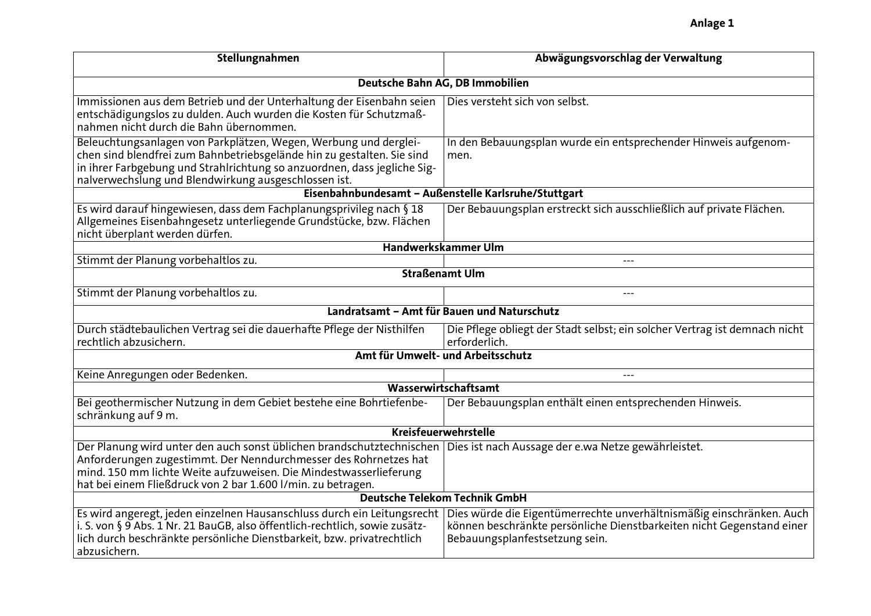| Stellungnahmen                                                                                                                                                                                                                                                                 | Abwägungsvorschlag der Verwaltung                                                                                                                                               |  |
|--------------------------------------------------------------------------------------------------------------------------------------------------------------------------------------------------------------------------------------------------------------------------------|---------------------------------------------------------------------------------------------------------------------------------------------------------------------------------|--|
| Deutsche Bahn AG, DB Immobilien                                                                                                                                                                                                                                                |                                                                                                                                                                                 |  |
| Immissionen aus dem Betrieb und der Unterhaltung der Eisenbahn seien<br>entschädigungslos zu dulden. Auch wurden die Kosten für Schutzmaß-<br>nahmen nicht durch die Bahn übernommen.                                                                                          | Dies versteht sich von selbst.                                                                                                                                                  |  |
| Beleuchtungsanlagen von Parkplätzen, Wegen, Werbung und derglei-<br>chen sind blendfrei zum Bahnbetriebsgelände hin zu gestalten. Sie sind<br>in ihrer Farbgebung und Strahlrichtung so anzuordnen, dass jegliche Sig-<br>nalverwechslung und Blendwirkung ausgeschlossen ist. | In den Bebauungsplan wurde ein entsprechender Hinweis aufgenom-<br>men.                                                                                                         |  |
| Eisenbahnbundesamt - Außenstelle Karlsruhe/Stuttgart                                                                                                                                                                                                                           |                                                                                                                                                                                 |  |
| Es wird darauf hingewiesen, dass dem Fachplanungsprivileg nach § 18<br>Allgemeines Eisenbahngesetz unterliegende Grundstücke, bzw. Flächen<br>nicht überplant werden dürfen.                                                                                                   | Der Bebauungsplan erstreckt sich ausschließlich auf private Flächen.                                                                                                            |  |
| Handwerkskammer Ulm                                                                                                                                                                                                                                                            |                                                                                                                                                                                 |  |
| Stimmt der Planung vorbehaltlos zu.                                                                                                                                                                                                                                            |                                                                                                                                                                                 |  |
| <b>Straßenamt Ulm</b>                                                                                                                                                                                                                                                          |                                                                                                                                                                                 |  |
| Stimmt der Planung vorbehaltlos zu.                                                                                                                                                                                                                                            | ---                                                                                                                                                                             |  |
| Landratsamt - Amt für Bauen und Naturschutz                                                                                                                                                                                                                                    |                                                                                                                                                                                 |  |
| Durch städtebaulichen Vertrag sei die dauerhafte Pflege der Nisthilfen<br>rechtlich abzusichern.                                                                                                                                                                               | Die Pflege obliegt der Stadt selbst; ein solcher Vertrag ist demnach nicht<br>erforderlich.                                                                                     |  |
| Amt für Umwelt- und Arbeitsschutz                                                                                                                                                                                                                                              |                                                                                                                                                                                 |  |
| Keine Anregungen oder Bedenken.                                                                                                                                                                                                                                                |                                                                                                                                                                                 |  |
| Wasserwirtschaftsamt                                                                                                                                                                                                                                                           |                                                                                                                                                                                 |  |
| Bei geothermischer Nutzung in dem Gebiet bestehe eine Bohrtiefenbe-<br>schränkung auf 9 m.                                                                                                                                                                                     | Der Bebauungsplan enthält einen entsprechenden Hinweis.                                                                                                                         |  |
| <b>Kreisfeuerwehrstelle</b>                                                                                                                                                                                                                                                    |                                                                                                                                                                                 |  |
| Der Planung wird unter den auch sonst üblichen brandschutztechnischen<br>Anforderungen zugestimmt. Der Nenndurchmesser des Rohrnetzes hat<br>mind. 150 mm lichte Weite aufzuweisen. Die Mindestwasserlieferung<br>hat bei einem Fließdruck von 2 bar 1.600 l/min. zu betragen. | Dies ist nach Aussage der e.wa Netze gewährleistet.                                                                                                                             |  |
| <b>Deutsche Telekom Technik GmbH</b>                                                                                                                                                                                                                                           |                                                                                                                                                                                 |  |
| Es wird angeregt, jeden einzelnen Hausanschluss durch ein Leitungsrecht<br>i. S. von § 9 Abs. 1 Nr. 21 BauGB, also öffentlich-rechtlich, sowie zusätz-<br>lich durch beschränkte persönliche Dienstbarkeit, bzw. privatrechtlich<br>abzusichern.                               | Dies würde die Eigentümerrechte unverhältnismäßig einschränken. Auch<br>können beschränkte persönliche Dienstbarkeiten nicht Gegenstand einer<br>Bebauungsplanfestsetzung sein. |  |